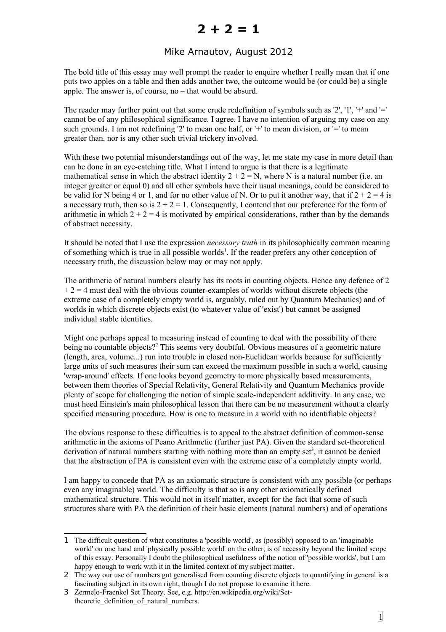## **2 + 2 = 1**

## Mike Arnautov, August 2012

The bold title of this essay may well prompt the reader to enquire whether I really mean that if one puts two apples on a table and then adds another two, the outcome would be (or could be) a single apple. The answer is, of course, no – that would be absurd.

The reader may further point out that some crude redefinition of symbols such as '2', '1', '+' and '=' cannot be of any philosophical significance. I agree. I have no intention of arguing my case on any such grounds. I am not redefining  $2'$  to mean one half, or  $+$  to mean division, or  $=$  to mean greater than, nor is any other such trivial trickery involved.

With these two potential misunderstandings out of the way, let me state my case in more detail than can be done in an eye-catching title. What I intend to argue is that there is a legitimate mathematical sense in which the abstract identity  $2 + 2 = N$ , where N is a natural number (i.e. an integer greater or equal 0) and all other symbols have their usual meanings, could be considered to be valid for N being 4 or 1, and for no other value of N. Or to put it another way, that if  $2 + 2 = 4$  is a necessary truth, then so is  $2 + 2 = 1$ . Consequently, I contend that our preference for the form of arithmetic in which  $2 + 2 = 4$  is motivated by empirical considerations, rather than by the demands of abstract necessity.

It should be noted that I use the expression *necessary truth* in its philosophically common meaning of something which is true in all possible worlds<sup>[1](#page-0-0)</sup>. If the reader prefers any other conception of necessary truth, the discussion below may or may not apply.

The arithmetic of natural numbers clearly has its roots in counting objects. Hence any defence of 2  $+ 2 = 4$  must deal with the obvious counter-examples of worlds without discrete objects (the extreme case of a completely empty world is, arguably, ruled out by Quantum Mechanics) and of worlds in which discrete objects exist (to whatever value of 'exist') but cannot be assigned individual stable identities.

Might one perhaps appeal to measuring instead of counting to deal with the possibility of there being no countable objects?<sup>[2](#page-0-1)</sup> This seems very doubtful. Obvious measures of a geometric nature (length, area, volume...) run into trouble in closed non-Euclidean worlds because for sufficiently large units of such measures their sum can exceed the maximum possible in such a world, causing 'wrap-around' effects. If one looks beyond geometry to more physically based measurements, between them theories of Special Relativity, General Relativity and Quantum Mechanics provide plenty of scope for challenging the notion of simple scale-independent additivity. In any case, we must heed Einstein's main philosophical lesson that there can be no measurement without a clearly specified measuring procedure. How is one to measure in a world with no identifiable objects?

The obvious response to these difficulties is to appeal to the abstract definition of common-sense arithmetic in the axioms of Peano Arithmetic (further just PA). Given the standard set-theoretical derivation of natural numbers starting with nothing more than an empty set<sup>[3](#page-0-2)</sup>, it cannot be denied that the abstraction of PA is consistent even with the extreme case of a completely empty world.

I am happy to concede that PA as an axiomatic structure is consistent with any possible (or perhaps even any imaginable) world. The difficulty is that so is any other axiomatically defined mathematical structure. This would not in itself matter, except for the fact that some of such structures share with PA the definition of their basic elements (natural numbers) and of operations

<span id="page-0-0"></span><sup>1</sup> The difficult question of what constitutes a 'possible world', as (possibly) opposed to an 'imaginable world' on one hand and 'physically possible world' on the other, is of necessity beyond the limited scope of this essay. Personally I doubt the philosophical usefulness of the notion of 'possible worlds', but I am happy enough to work with it in the limited context of my subject matter.

<span id="page-0-1"></span><sup>2</sup> The way our use of numbers got generalised from counting discrete objects to quantifying in general is a fascinating subject in its own right, though I do not propose to examine it here.

<span id="page-0-2"></span><sup>3</sup> Zermelo-Fraenkel Set Theory. See, e.g. http://en.wikipedia.org/wiki/Settheoretic definition of natural numbers.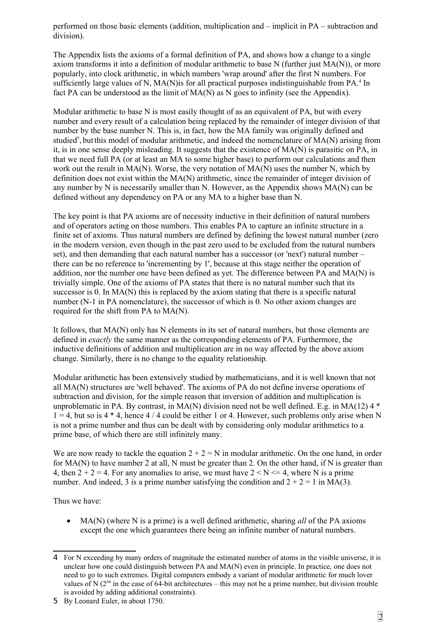performed on those basic elements (addition, multiplication and – implicit in PA – subtraction and division).

The Appendix lists the axioms of a formal definition of PA, and shows how a change to a single axiom transforms it into a definition of modular arithmetic to base N (further just MA(N)), or more popularly, into clock arithmetic, in which numbers 'wrap around' after the first N numbers. For sufficiently large values of N, MA(N) is for all practical purposes indistinguishable from PA.<sup>[4](#page-1-0)</sup> In fact PA can be understood as the limit of MA(N) as N goes to infinity (see the Appendix).

Modular arithmetic to base N is most easily thought of as an equivalent of PA, but with every number and every result of a calculation being replaced by the remainder of integer division of that number by the base number N. This is, in fact, how the MA family was originally defined and studied<sup>[5](#page-1-1)</sup>, but this model of modular arithmetic, and indeed the nomenclature of  $MA(N)$  arising from it, is in one sense deeply misleading. It suggests that the existence of MA(N) is parasitic on PA, in that we need full PA (or at least an MA to some higher base) to perform our calculations and then work out the result in  $MA(N)$ . Worse, the very notation of  $MA(N)$  uses the number N, which by definition does not exist within the MA(N) arithmetic, since the remainder of integer division of any number by N is necessarily smaller than N. However, as the Appendix shows MA(N) can be defined without any dependency on PA or any MA to a higher base than N.

The key point is that PA axioms are of necessity inductive in their definition of natural numbers and of operators acting on those numbers. This enables PA to capture an infinite structure in a finite set of axioms. Thus natural numbers are defined by defining the lowest natural number (zero in the modern version, even though in the past zero used to be excluded from the natural numbers set), and then demanding that each natural number has a successor (or 'next') natural number – there can be no reference to 'incrementing by 1', because at this stage neither the operation of addition, nor the number one have been defined as yet. The difference between PA and  $MA(N)$  is trivially simple. One of the axioms of PA states that there is no natural number such that its successor is 0. In MA(N) this is replaced by the axiom stating that there is a specific natural number (N-1 in PA nomenclature), the successor of which is 0. No other axiom changes are required for the shift from PA to MA(N).

It follows, that MA(N) only has N elements in its set of natural numbers, but those elements are defined in *exactly* the same manner as the corresponding elements of PA. Furthermore, the inductive definitions of addition and multiplication are in no way affected by the above axiom change. Similarly, there is no change to the equality relationship.

Modular arithmetic has been extensively studied by mathematicians, and it is well known that not all MA(N) structures are 'well behaved'. The axioms of PA do not define inverse operations of subtraction and division, for the simple reason that inversion of addition and multiplication is unproblematic in PA. By contrast, in MA(N) division need not be well defined. E.g. in MA(12)  $4 *$  $1 = 4$ , but so is  $4 * 4$ , hence  $4 / 4$  could be either 1 or 4. However, such problems only arise when N is not a prime number and thus can be dealt with by considering only modular arithmetics to a prime base, of which there are still infinitely many.

We are now ready to tackle the equation  $2 + 2 = N$  in modular arithmetic. On the one hand, in order for MA(N) to have number 2 at all, N must be greater than 2. On the other hand, if N is greater than 4, then  $2 + 2 = 4$ . For any anomalies to arise, we must have  $2 < N \le 4$ , where N is a prime number. And indeed, 3 is a prime number satisfying the condition and  $2 + 2 = 1$  in MA(3).

Thus we have:

 MA(N) (where N is a prime) is a well defined arithmetic, sharing *all* of the PA axioms except the one which guarantees there being an infinite number of natural numbers.

<span id="page-1-0"></span><sup>4</sup> For N exceeding by many orders of magnitude the estimated number of atoms in the visible universe, it is unclear how one could distinguish between PA and MA(N) even in principle. In practice, one does not need to go to such extremes. Digital computers embody a variant of modular arithmetic for much lover values of N  $(2^{64}$  in the case of 64-bit architectures – this may not be a prime number, but division trouble is avoided by adding additional constraints).

<span id="page-1-1"></span><sup>5</sup> By Leonard Euler, in about 1750.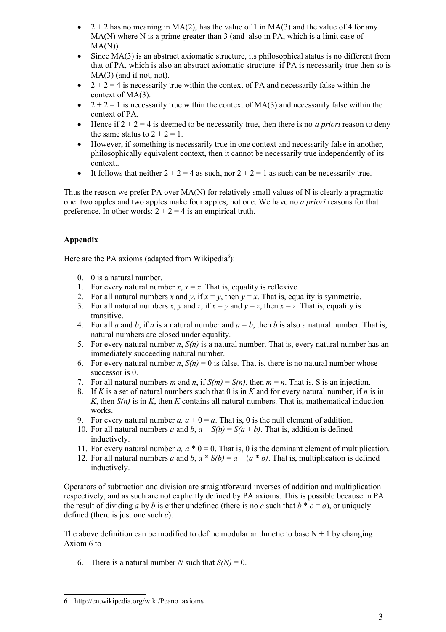- $\bullet$  2 + 2 has no meaning in MA(2), has the value of 1 in MA(3) and the value of 4 for any MA(N) where N is a prime greater than 3 (and also in PA, which is a limit case of  $MA(N)$ ).
- Since MA(3) is an abstract axiomatic structure, its philosophical status is no different from that of PA, which is also an abstract axiomatic structure: if PA is necessarily true then so is MA(3) (and if not, not).
- $\bullet$  2 + 2 = 4 is necessarily true within the context of PA and necessarily false within the context of MA(3).
- $\bullet$   $2 + 2 = 1$  is necessarily true within the context of MA(3) and necessarily false within the context of PA.
- $\bullet$  Hence if  $2 + 2 = 4$  is deemed to be necessarily true, then there is no *a priori* reason to deny the same status to  $2 + 2 = 1$ .
- However, if something is necessarily true in one context and necessarily false in another, philosophically equivalent context, then it cannot be necessarily true independently of its context..
- It follows that neither  $2 + 2 = 4$  as such, nor  $2 + 2 = 1$  as such can be necessarily true.

Thus the reason we prefer PA over MA(N) for relatively small values of N is clearly a pragmatic one: two apples and two apples make four apples, not one. We have no *a priori* reasons for that preference. In other words:  $2 + 2 = 4$  is an empirical truth.

## **Appendix**

Here are the PA axioms (adapted from Wikipedia $6$ ):

- 0. 0 is a natural number.
- 1. For every natural number  $x, x = x$ . That is, equality is reflexive.
- 2. For all natural numbers x and  $\psi$ , if  $x = \psi$ , then  $\psi = x$ . That is, equality is symmetric.
- 3. For all natural numbers *x*, *y* and *z*, if  $x = y$  and  $y = z$ , then  $x = z$ . That is, equality is transitive.
- 4. For all *a* and *b*, if *a* is a natural number and  $a = b$ , then *b* is also a natural number. That is, natural numbers are closed under equality.
- 5. For every natural number *n*, *S(n)* is a natural number. That is, every natural number has an immediately succeeding natural number.
- 6. For every natural number *n*,  $S(n) = 0$  is false. That is, there is no natural number whose successor is 0.
- 7. For all natural numbers *m* and *n*, if  $S(m) = S(n)$ , then  $m = n$ . That is, S is an injection.
- 8. If *K* is a set of natural numbers such that 0 is in *K* and for every natural number, if *n* is in *K*, then *S(n)* is in *K*, then *K* contains all natural numbers. That is, mathematical induction works.
- 9. For every natural number  $a$ ,  $a + 0 = a$ . That is, 0 is the null element of addition.
- 10. For all natural numbers *a* and *b*,  $a + S(b) = S(a + b)$ . That is, addition is defined inductively.
- 11. For every natural number  $a$ ,  $a * 0 = 0$ . That is, 0 is the dominant element of multiplication.
- 12. For all natural numbers *a* and *b*,  $a * S(b) = a + (a * b)$ . That is, multiplication is defined inductively.

Operators of subtraction and division are straightforward inverses of addition and multiplication respectively, and as such are not explicitly defined by PA axioms. This is possible because in PA the result of dividing *a* by *b* is either undefined (there is no *c* such that  $b * c = a$ ), or uniquely defined (there is just one such *c*).

The above definition can be modified to define modular arithmetic to base  $N + 1$  by changing Axiom 6 to

6. There is a natural number *N* such that  $S(N) = 0$ .

<span id="page-2-0"></span><sup>6</sup> http://en.wikipedia.org/wiki/Peano\_axioms